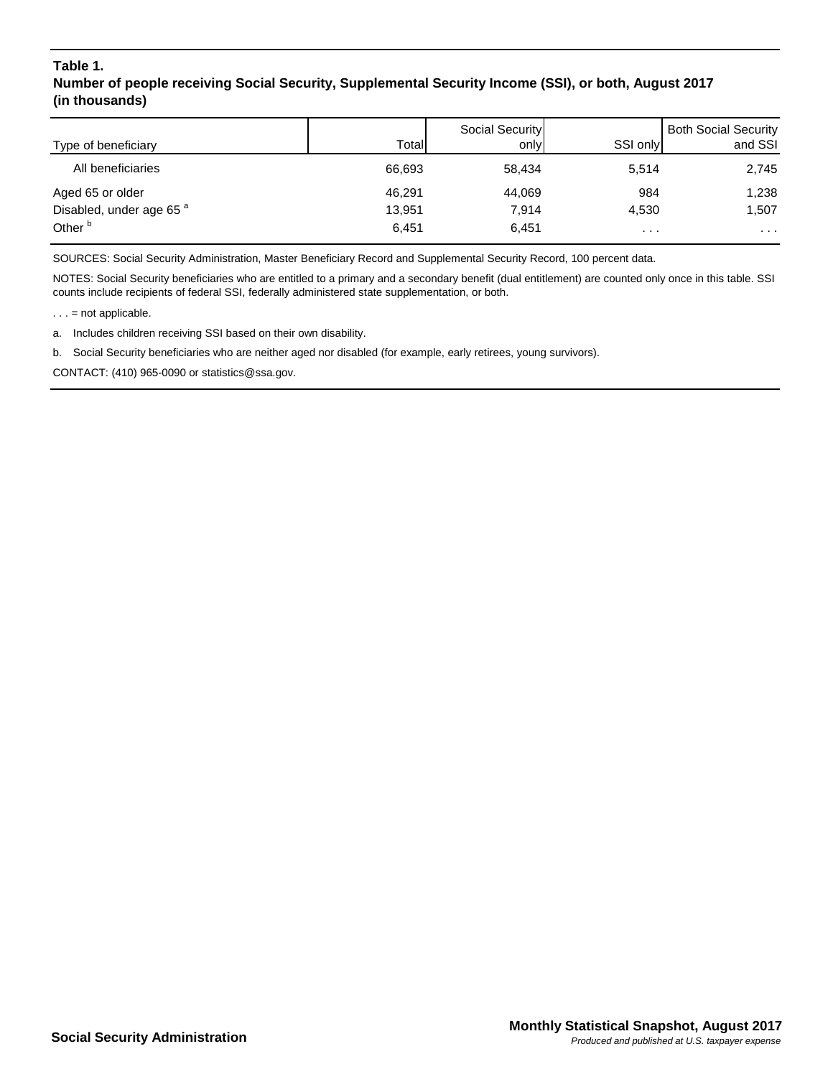## **Table 1. Number of people receiving Social Security, Supplemental Security Income (SSI), or both, August 2017 (in thousands)**

| Type of beneficiary                 | Total  | Social Security<br>only | SSI only | <b>Both Social Security</b><br>and SSI |
|-------------------------------------|--------|-------------------------|----------|----------------------------------------|
| All beneficiaries                   | 66,693 | 58.434                  | 5,514    | 2,745                                  |
| Aged 65 or older                    | 46,291 | 44,069                  | 984      | 1,238                                  |
| Disabled, under age 65 <sup>a</sup> | 13,951 | 7,914                   | 4,530    | 1,507                                  |
| Other <sup>b</sup>                  | 6.451  | 6,451                   | $\cdots$ | $\cdots$                               |

SOURCES: Social Security Administration, Master Beneficiary Record and Supplemental Security Record, 100 percent data.

NOTES: Social Security beneficiaries who are entitled to a primary and a secondary benefit (dual entitlement) are counted only once in this table. SSI counts include recipients of federal SSI, federally administered state supplementation, or both.

 $\ldots$  = not applicable.

a. Includes children receiving SSI based on their own disability.

b. Social Security beneficiaries who are neither aged nor disabled (for example, early retirees, young survivors).

CONTACT: (410) 965-0090 or statistics@ssa.gov.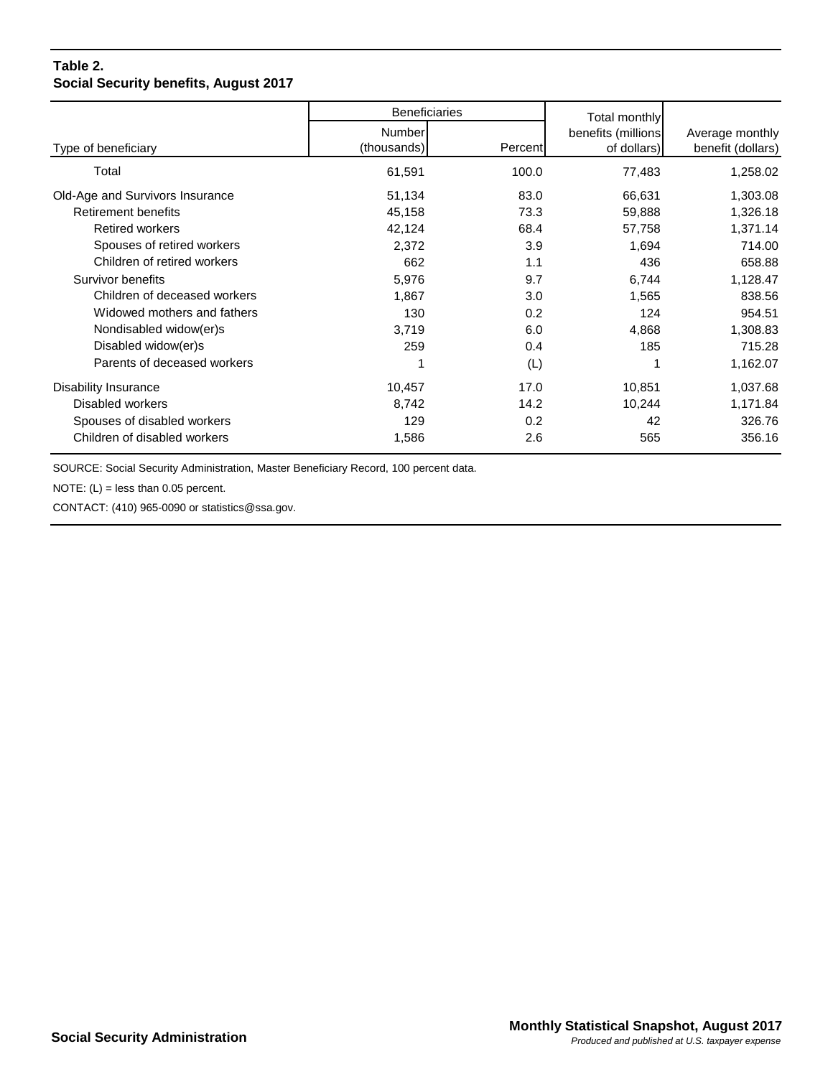## **Table 2. Social Security benefits, August 2017**

|                                 | <b>Beneficiaries</b> |         | Total monthly      |                   |
|---------------------------------|----------------------|---------|--------------------|-------------------|
|                                 | <b>Number</b>        |         | benefits (millions | Average monthly   |
| Type of beneficiary             | (thousands)          | Percent | of dollars)        | benefit (dollars) |
| Total                           | 61,591               | 100.0   | 77,483             | 1,258.02          |
| Old-Age and Survivors Insurance | 51,134               | 83.0    | 66,631             | 1,303.08          |
| <b>Retirement benefits</b>      | 45,158               | 73.3    | 59,888             | 1,326.18          |
| <b>Retired workers</b>          | 42,124               | 68.4    | 57,758             | 1,371.14          |
| Spouses of retired workers      | 2,372                | 3.9     | 1,694              | 714.00            |
| Children of retired workers     | 662                  | 1.1     | 436                | 658.88            |
| Survivor benefits               | 5,976                | 9.7     | 6,744              | 1,128.47          |
| Children of deceased workers    | 1,867                | 3.0     | 1,565              | 838.56            |
| Widowed mothers and fathers     | 130                  | 0.2     | 124                | 954.51            |
| Nondisabled widow(er)s          | 3,719                | 6.0     | 4,868              | 1,308.83          |
| Disabled widow(er)s             | 259                  | 0.4     | 185                | 715.28            |
| Parents of deceased workers     |                      | (L)     |                    | 1,162.07          |
| Disability Insurance            | 10,457               | 17.0    | 10,851             | 1,037.68          |
| Disabled workers                | 8,742                | 14.2    | 10,244             | 1,171.84          |
| Spouses of disabled workers     | 129                  | 0.2     | 42                 | 326.76            |
| Children of disabled workers    | 1,586                | 2.6     | 565                | 356.16            |

SOURCE: Social Security Administration, Master Beneficiary Record, 100 percent data.

NOTE:  $(L)$  = less than 0.05 percent.

CONTACT: (410) 965-0090 or statistics@ssa.gov.